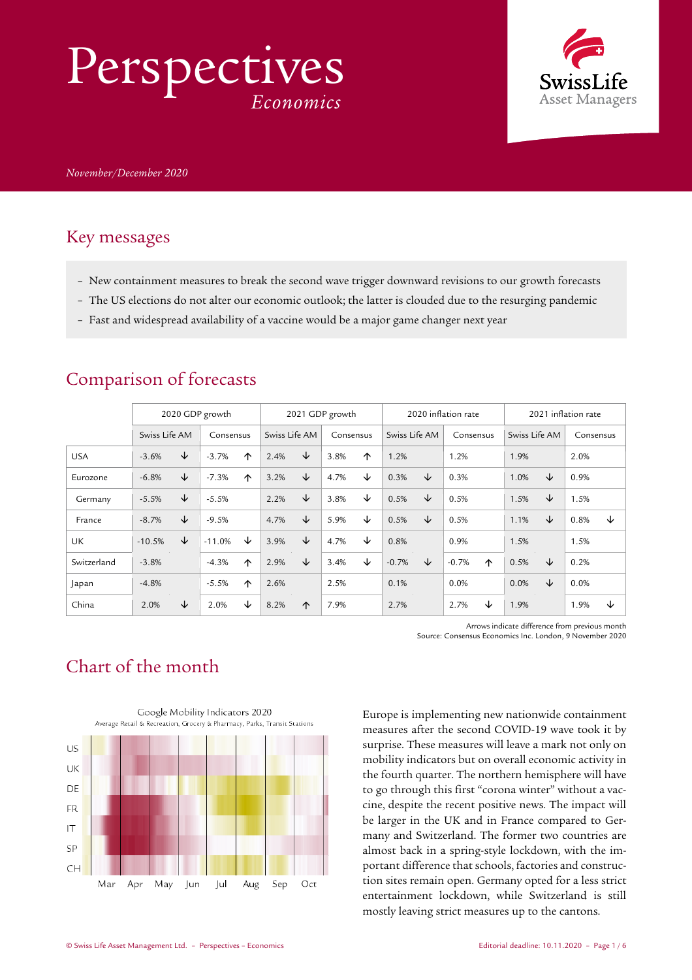# Perspectives *Economics*



#### Key messages

- New containment measures to break the second wave trigger downward revisions to our growth forecasts
- The US elections do not alter our economic outlook; the latter is clouded due to the resurging pandemic
- Fast and widespread availability of a vaccine would be a major game changer next year

|             | 2020 GDP growth |   |           | 2021 GDP growth |               |            | 2020 inflation rate |   |               | 2021 inflation rate |           |   |               |   |           |   |
|-------------|-----------------|---|-----------|-----------------|---------------|------------|---------------------|---|---------------|---------------------|-----------|---|---------------|---|-----------|---|
|             | Swiss Life AM   |   | Consensus |                 | Swiss Life AM |            | Consensus           |   | Swiss Life AM |                     | Consensus |   | Swiss Life AM |   | Consensus |   |
| <b>USA</b>  | $-3.6%$         | ↓ | $-3.7%$   | 个               | 2.4%          | ↓          | 3.8%                | ↑ | 1.2%          |                     | 1.2%      |   | 1.9%          |   | 2.0%      |   |
| Eurozone    | $-6.8%$         | ↓ | $-7.3%$   | 个               | 3.2%          | ↓          | 4.7%                | ↓ | 0.3%          | ↓                   | 0.3%      |   | 1.0%          | ↓ | 0.9%      |   |
| Germany     | $-5.5%$         | ↓ | $-5.5%$   |                 | 2.2%          | ↓          | 3.8%                | ↓ | 0.5%          | ↓                   | 0.5%      |   | 1.5%          | ↓ | 1.5%      |   |
| France      | $-8.7%$         | ↓ | $-9.5%$   |                 | 4.7%          | ↓          | 5.9%                | ↓ | 0.5%          | ↓                   | 0.5%      |   | 1.1%          | ↓ | 0.8%      | ↓ |
| UK          | $-10.5%$        | ↓ | $-11.0%$  | ↓               | 3.9%          | ↓          | 4.7%                | ↓ | 0.8%          |                     | 0.9%      |   | 1.5%          |   | 1.5%      |   |
| Switzerland | $-3.8%$         |   | $-4.3%$   | 个               | 2.9%          | ↓          | 3.4%                | ↓ | $-0.7%$       | ↓                   | $-0.7%$   | ↑ | 0.5%          | ↓ | 0.2%      |   |
| Japan       | $-4.8%$         |   | $-5.5%$   | 个               | 2.6%          |            | 2.5%                |   | 0.1%          |                     | 0.0%      |   | 0.0%          | ↓ | 0.0%      |   |
| China       | 2.0%            | ↓ | 2.0%      | ↓               | 8.2%          | $\uparrow$ | 7.9%                |   | 2.7%          |                     | 2.7%      | ↓ | 1.9%          |   | 1.9%      | ↓ |

#### Comparison of forecasts

Arrows indicate difference from previous month Source: Consensus Economics Inc. London, 9 November 2020

### Chart of the month



Europe is implementing new nationwide containment measures after the second COVID-19 wave took it by surprise. These measures will leave a mark not only on mobility indicators but on overall economic activity in the fourth quarter. The northern hemisphere will have to go through this first "corona winter" without a vaccine, despite the recent positive news. The impact will be larger in the UK and in France compared to Germany and Switzerland. The former two countries are almost back in a spring-style lockdown, with the important difference that schools, factories and construction sites remain open. Germany opted for a less strict entertainment lockdown, while Switzerland is still mostly leaving strict measures up to the cantons.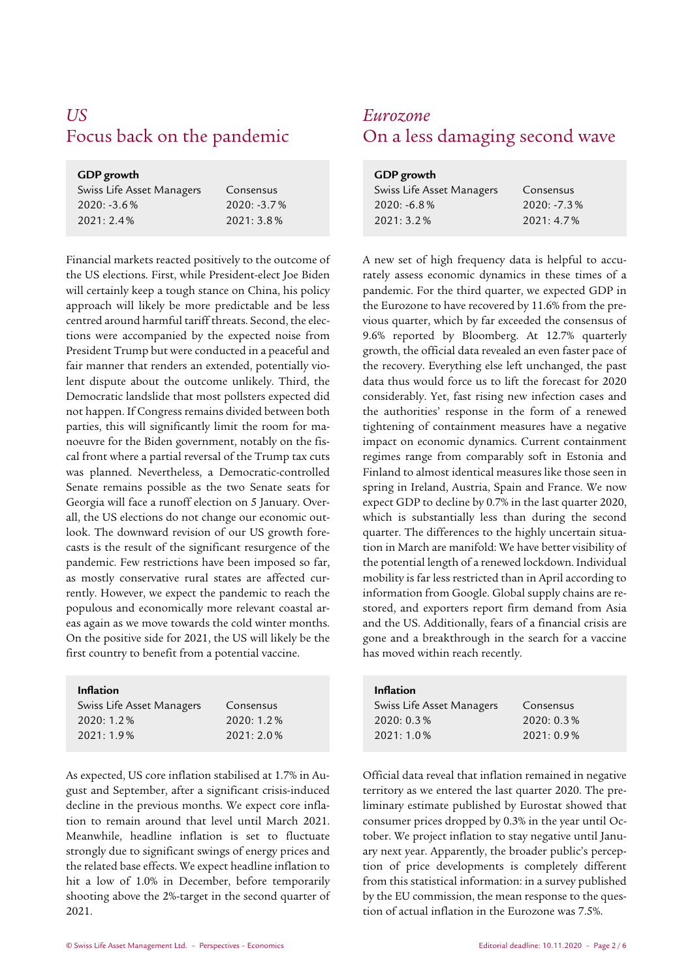## *US Eurozone*

#### **GDP growth**  Swiss Life Asset Managers 2020: -3.6 % 2021: 2.4 % Consensus 2020: -3.7 % 2021: 3.8 %

Financial markets reacted positively to the outcome of the US elections. First, while President-elect Joe Biden will certainly keep a tough stance on China, his policy approach will likely be more predictable and be less centred around harmful tariff threats. Second, the elections were accompanied by the expected noise from President Trump but were conducted in a peaceful and fair manner that renders an extended, potentially violent dispute about the outcome unlikely. Third, the Democratic landslide that most pollsters expected did not happen. If Congress remains divided between both parties, this will significantly limit the room for manoeuvre for the Biden government, notably on the fiscal front where a partial reversal of the Trump tax cuts was planned. Nevertheless, a Democratic-controlled Senate remains possible as the two Senate seats for Georgia will face a runoff election on 5 January. Overall, the US elections do not change our economic outlook. The downward revision of our US growth forecasts is the result of the significant resurgence of the pandemic. Few restrictions have been imposed so far, as mostly conservative rural states are affected currently. However, we expect the pandemic to reach the populous and economically more relevant coastal areas again as we move towards the cold winter months. On the positive side for 2021, the US will likely be the first country to benefit from a potential vaccine.

#### **Inflation Inflation**

| Swiss Life Asset Managers | Consensus    |
|---------------------------|--------------|
| $2020:1.2\%$              | 2020:1.2%    |
| $2021:1.9\%$              | $2021:2.0\%$ |

As expected, US core inflation stabilised at 1.7% in August and September, after a significant crisis-induced decline in the previous months. We expect core inflation to remain around that level until March 2021. Meanwhile, headline inflation is set to fluctuate strongly due to significant swings of energy prices and the related base effects. We expect headline inflation to hit a low of 1.0% in December, before temporarily shooting above the 2%-target in the second quarter of 2021.

## Focus back on the pandemic On a less damaging second wave

| GDP growth                |               |  |  |  |  |
|---------------------------|---------------|--|--|--|--|
| Swiss Life Asset Managers | Consensus     |  |  |  |  |
| $2020: -6.8\%$            | $2020: -7.3%$ |  |  |  |  |
| 2021:3.2%                 | 2021:4.7%     |  |  |  |  |

A new set of high frequency data is helpful to accurately assess economic dynamics in these times of a pandemic. For the third quarter, we expected GDP in the Eurozone to have recovered by 11.6% from the previous quarter, which by far exceeded the consensus of 9.6% reported by Bloomberg. At 12.7% quarterly growth, the official data revealed an even faster pace of the recovery. Everything else left unchanged, the past data thus would force us to lift the forecast for 2020 considerably. Yet, fast rising new infection cases and the authorities' response in the form of a renewed tightening of containment measures have a negative impact on economic dynamics. Current containment regimes range from comparably soft in Estonia and Finland to almost identical measures like those seen in spring in Ireland, Austria, Spain and France. We now expect GDP to decline by 0.7% in the last quarter 2020, which is substantially less than during the second quarter. The differences to the highly uncertain situation in March are manifold: We have better visibility of the potential length of a renewed lockdown. Individual mobility is far less restricted than in April according to information from Google. Global supply chains are restored, and exporters report firm demand from Asia and the US. Additionally, fears of a financial crisis are gone and a breakthrough in the search for a vaccine has moved within reach recently.

| <b>Inflation</b>          |           |
|---------------------------|-----------|
| Swiss Life Asset Managers | Consensus |
| 2020:0.3%                 | 2020:0.3% |
| $2021:1.0\%$              | 2021:0.9% |

Official data reveal that inflation remained in negative territory as we entered the last quarter 2020. The preliminary estimate published by Eurostat showed that consumer prices dropped by 0.3% in the year until October. We project inflation to stay negative until January next year. Apparently, the broader public's perception of price developments is completely different from this statistical information: in a survey published by the EU commission, the mean response to the question of actual inflation in the Eurozone was 7.5%.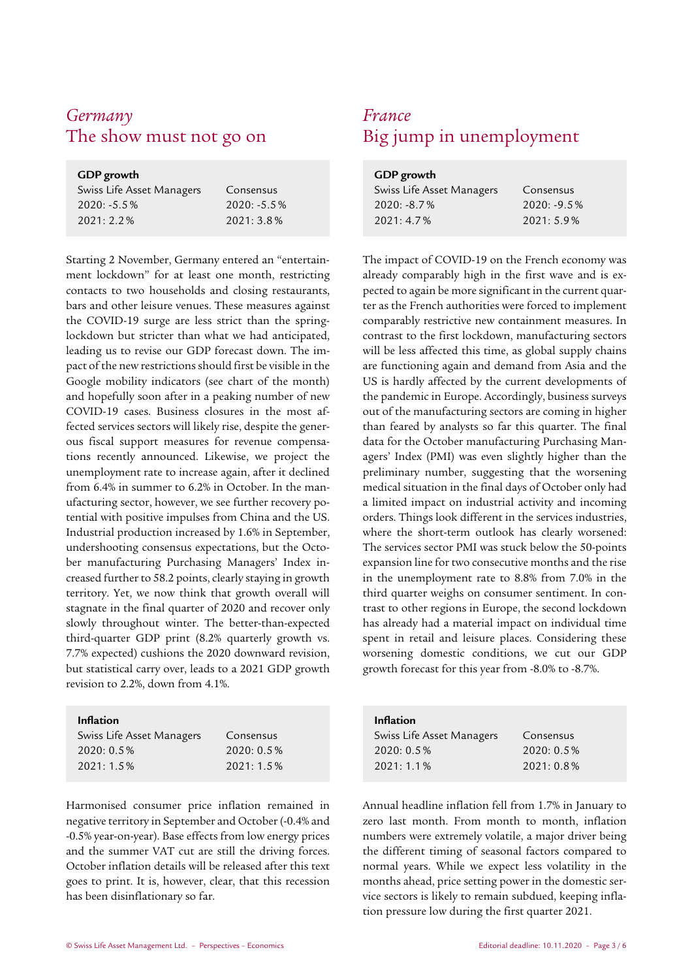## *Germany France*

#### **GDP growth**

| Swiss Life Asset Managers | Consensus      |
|---------------------------|----------------|
| $2020: -5.5\%$            | $2020: -5.5\%$ |
| $2021:2.2\%$              | $2021:3.8\%$   |

Starting 2 November, Germany entered an "entertainment lockdown" for at least one month, restricting contacts to two households and closing restaurants, bars and other leisure venues. These measures against the COVID-19 surge are less strict than the springlockdown but stricter than what we had anticipated, leading us to revise our GDP forecast down. The impact of the new restrictions should first be visible in the Google mobility indicators (see chart of the month) and hopefully soon after in a peaking number of new COVID-19 cases. Business closures in the most affected services sectors will likely rise, despite the generous fiscal support measures for revenue compensations recently announced. Likewise, we project the unemployment rate to increase again, after it declined from 6.4% in summer to 6.2% in October. In the manufacturing sector, however, we see further recovery potential with positive impulses from China and the US. Industrial production increased by 1.6% in September, undershooting consensus expectations, but the October manufacturing Purchasing Managers' Index increased further to 58.2 points, clearly staying in growth territory. Yet, we now think that growth overall will stagnate in the final quarter of 2020 and recover only slowly throughout winter. The better-than-expected third-quarter GDP print (8.2% quarterly growth vs. 7.7% expected) cushions the 2020 downward revision, but statistical carry over, leads to a 2021 GDP growth revision to 2.2%, down from 4.1%.

#### Inflation

| Swiss Life Asset Managers | Consensus    |
|---------------------------|--------------|
| $2020:0.5\%$              | $2020:0.5\%$ |
| $2021:1.5\%$              | 2021:1.5%    |
|                           |              |

Harmonised consumer price inflation remained in negative territory in September and October (-0.4% and -0.5% year-on-year). Base effects from low energy prices and the summer VAT cut are still the driving forces. October inflation details will be released after this text goes to print. It is, however, clear, that this recession has been disinflationary so far.

## The show must not go on Big jump in unemployment

| <b>GDP</b> growth         |                |
|---------------------------|----------------|
| Swiss Life Asset Managers | Consensus      |
| $2020: -8.7\%$            | $2020: -9.5\%$ |
| 2021:4.7%                 | 2021:5.9%      |

 The impact of COVID-19 on the French economy was already comparably high in the first wave and is expected to again be more significant in the current quarter as the French authorities were forced to implement comparably restrictive new containment measures. In contrast to the first lockdown, manufacturing sectors will be less affected this time, as global supply chains are functioning again and demand from Asia and the US is hardly affected by the current developments of the pandemic in Europe. Accordingly, business surveys out of the manufacturing sectors are coming in higher than feared by analysts so far this quarter. The final data for the October manufacturing Purchasing Managers' Index (PMI) was even slightly higher than the preliminary number, suggesting that the worsening medical situation in the final days of October only had a limited impact on industrial activity and incoming orders. Things look different in the services industries, where the short-term outlook has clearly worsened: The services sector PMI was stuck below the 50-points expansion line for two consecutive months and the rise in the unemployment rate to 8.8% from 7.0% in the third quarter weighs on consumer sentiment. In contrast to other regions in Europe, the second lockdown has already had a material impact on individual time spent in retail and leisure places. Considering these worsening domestic conditions, we cut our GDP growth forecast for this year from -8.0% to -8.7%.

| <b>Inflation</b>          |              |
|---------------------------|--------------|
| Swiss Life Asset Managers | Consensus    |
| 2020:0.5%                 | $2020:0.5\%$ |
| $2021:1.1\%$              | $2021:0.8\%$ |

Annual headline inflation fell from 1.7% in January to zero last month. From month to month, inflation numbers were extremely volatile, a major driver being the different timing of seasonal factors compared to normal years. While we expect less volatility in the months ahead, price setting power in the domestic service sectors is likely to remain subdued, keeping inflation pressure low during the first quarter 2021.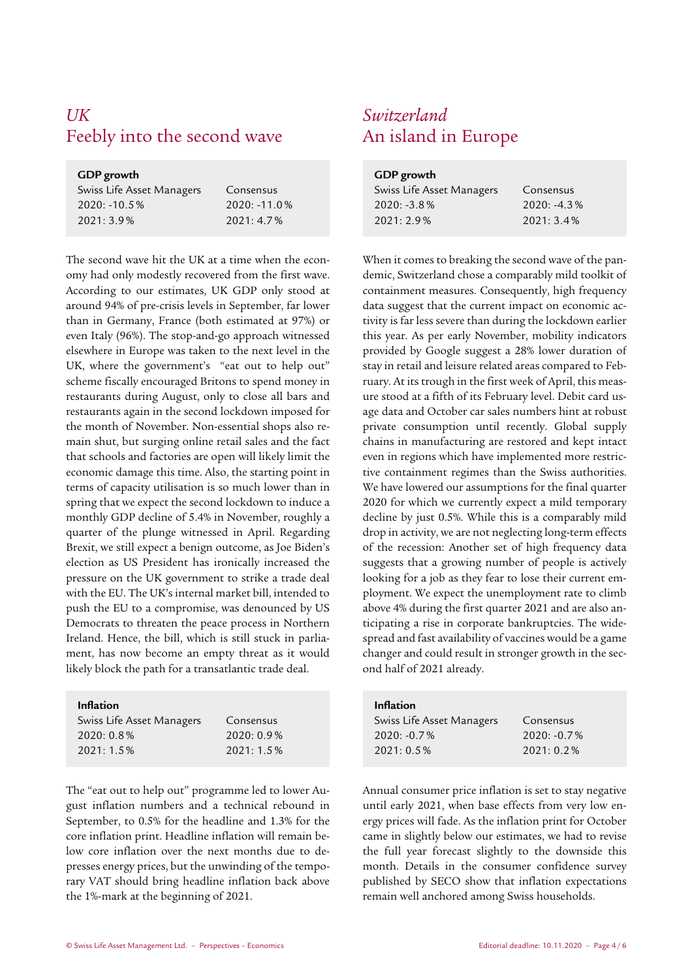### *UK Switzerland* Feebly into the second wave An island in Europe

| GDP growth                |                 |
|---------------------------|-----------------|
| Swiss Life Asset Managers | Consensus       |
| $2020: -10.5\%$           | $2020: -11.0\%$ |
| $2021:3.9\%$              | $2021:4.7\%$    |

The second wave hit the UK at a time when the economy had only modestly recovered from the first wave. According to our estimates, UK GDP only stood at around 94% of pre-crisis levels in September, far lower than in Germany, France (both estimated at 97%) or even Italy (96%). The stop-and-go approach witnessed elsewhere in Europe was taken to the next level in the UK, where the government's "eat out to help out" scheme fiscally encouraged Britons to spend money in restaurants during August, only to close all bars and restaurants again in the second lockdown imposed for the month of November. Non-essential shops also remain shut, but surging online retail sales and the fact that schools and factories are open will likely limit the economic damage this time. Also, the starting point in terms of capacity utilisation is so much lower than in spring that we expect the second lockdown to induce a monthly GDP decline of 5.4% in November, roughly a quarter of the plunge witnessed in April. Regarding Brexit, we still expect a benign outcome, as Joe Biden's election as US President has ironically increased the pressure on the UK government to strike a trade deal with the EU. The UK's internal market bill, intended to push the EU to a compromise, was denounced by US Democrats to threaten the peace process in Northern Ireland. Hence, the bill, which is still stuck in parliament, has now become an empty threat as it would likely block the path for a transatlantic trade deal.

### **Currico** Life

| Swiss Life Asset Managers | Consensus    |
|---------------------------|--------------|
| $2020:0.8\%$              | $2020:0.9\%$ |
| $2021:1.5\%$              | 2021:1.5%    |

The "eat out to help out" programme led to lower August inflation numbers and a technical rebound in September, to 0.5% for the headline and 1.3% for the core inflation print. Headline inflation will remain below core inflation over the next months due to depresses energy prices, but the unwinding of the temporary VAT should bring headline inflation back above the 1%-mark at the beginning of 2021.

| Consensus      |
|----------------|
| $2020: -4.3\%$ |
| 2021:3.4%      |
|                |

 When it comes to breaking the second wave of the pandemic, Switzerland chose a comparably mild toolkit of containment measures. Consequently, high frequency data suggest that the current impact on economic activity is far less severe than during the lockdown earlier this year. As per early November, mobility indicators provided by Google suggest a 28% lower duration of stay in retail and leisure related areas compared to February. At its trough in the first week of April, this measure stood at a fifth of its February level. Debit card usage data and October car sales numbers hint at robust private consumption until recently. Global supply chains in manufacturing are restored and kept intact even in regions which have implemented more restrictive containment regimes than the Swiss authorities. We have lowered our assumptions for the final quarter 2020 for which we currently expect a mild temporary decline by just 0.5%. While this is a comparably mild drop in activity, we are not neglecting long-term effects of the recession: Another set of high frequency data suggests that a growing number of people is actively looking for a job as they fear to lose their current employment. We expect the unemployment rate to climb above 4% during the first quarter 2021 and are also anticipating a rise in corporate bankruptcies. The widespread and fast availability of vaccines would be a game changer and could result in stronger growth in the second half of 2021 already.

| <b>Inflation</b>          |                |
|---------------------------|----------------|
| Swiss Life Asset Managers | Consensus      |
| $2020: -0.7\%$            | $2020: -0.7\%$ |
| $2021:0.5\%$              | $2021:0.2\%$   |

Annual consumer price inflation is set to stay negative until early 2021, when base effects from very low energy prices will fade. As the inflation print for October came in slightly below our estimates, we had to revise the full year forecast slightly to the downside this month. Details in the consumer confidence survey published by SECO show that inflation expectations remain well anchored among Swiss households.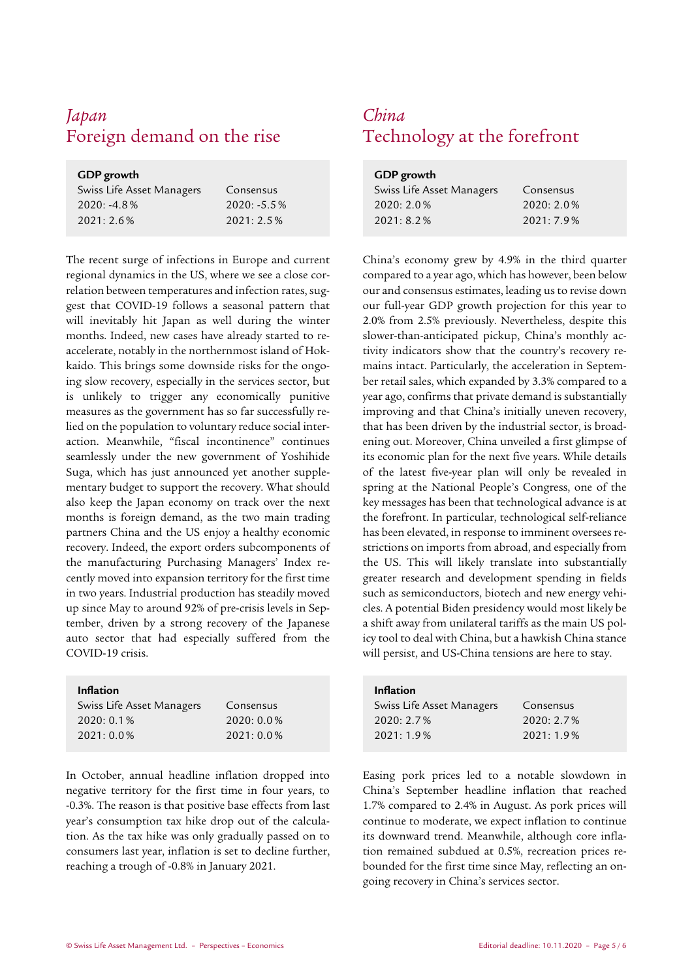### *Japan China* Foreign demand on the rise Technology at the forefront

| Swiss Life Asset Managers | Consensus      |
|---------------------------|----------------|
| $2020: -4.8\%$            | $2020: -5.5\%$ |
| 2021:2.6%                 | $2021: 2.5\%$  |

The recent surge of infections in Europe and current regional dynamics in the US, where we see a close correlation between temperatures and infection rates, suggest that COVID-19 follows a seasonal pattern that will inevitably hit Japan as well during the winter months. Indeed, new cases have already started to reaccelerate, notably in the northernmost island of Hokkaido. This brings some downside risks for the ongoing slow recovery, especially in the services sector, but is unlikely to trigger any economically punitive measures as the government has so far successfully relied on the population to voluntary reduce social interaction. Meanwhile, "fiscal incontinence" continues seamlessly under the new government of Yoshihide Suga, which has just announced yet another supplementary budget to support the recovery. What should also keep the Japan economy on track over the next months is foreign demand, as the two main trading partners China and the US enjoy a healthy economic recovery. Indeed, the export orders subcomponents of the manufacturing Purchasing Managers' Index recently moved into expansion territory for the first time in two years. Industrial production has steadily moved up since May to around 92% of pre-crisis levels in September, driven by a strong recovery of the Japanese auto sector that had especially suffered from the COVID-19 crisis.

#### **Inflation**

| Consensus    |
|--------------|
| $2020:0.0\%$ |
| $2021:0.0\%$ |
|              |

In October, annual headline inflation dropped into negative territory for the first time in four years, to -0.3%. The reason is that positive base effects from last year's consumption tax hike drop out of the calculation. As the tax hike was only gradually passed on to consumers last year, inflation is set to decline further, reaching a trough of -0.8% in January 2021.

| GDP growth                |           |
|---------------------------|-----------|
| Swiss Life Asset Managers | Consensus |
| $2020:2.0\%$              | 2020:2.0% |
| 2021:8.2%                 | 2021:7.9% |

 China's economy grew by 4.9% in the third quarter compared to a year ago, which has however, been below our and consensus estimates, leading us to revise down our full-year GDP growth projection for this year to 2.0% from 2.5% previously. Nevertheless, despite this slower-than-anticipated pickup, China's monthly activity indicators show that the country's recovery remains intact. Particularly, the acceleration in September retail sales, which expanded by 3.3% compared to a year ago, confirms that private demand is substantially improving and that China's initially uneven recovery, that has been driven by the industrial sector, is broadening out. Moreover, China unveiled a first glimpse of its economic plan for the next five years. While details of the latest five-year plan will only be revealed in spring at the National People's Congress, one of the key messages has been that technological advance is at the forefront. In particular, technological self-reliance has been elevated, in response to imminent oversees restrictions on imports from abroad, and especially from the US. This will likely translate into substantially greater research and development spending in fields such as semiconductors, biotech and new energy vehicles. A potential Biden presidency would most likely be a shift away from unilateral tariffs as the main US policy tool to deal with China, but a hawkish China stance will persist, and US-China tensions are here to stay.

| <b>Inflation</b>          |           |
|---------------------------|-----------|
| Swiss Life Asset Managers | Consensus |
| 2020:2.7%                 | 2020:2.7% |
| 2021:1.9%                 | 2021:1.9% |

Easing pork prices led to a notable slowdown in China's September headline inflation that reached 1.7% compared to 2.4% in August. As pork prices will continue to moderate, we expect inflation to continue its downward trend. Meanwhile, although core inflation remained subdued at 0.5%, recreation prices rebounded for the first time since May, reflecting an ongoing recovery in China's services sector.